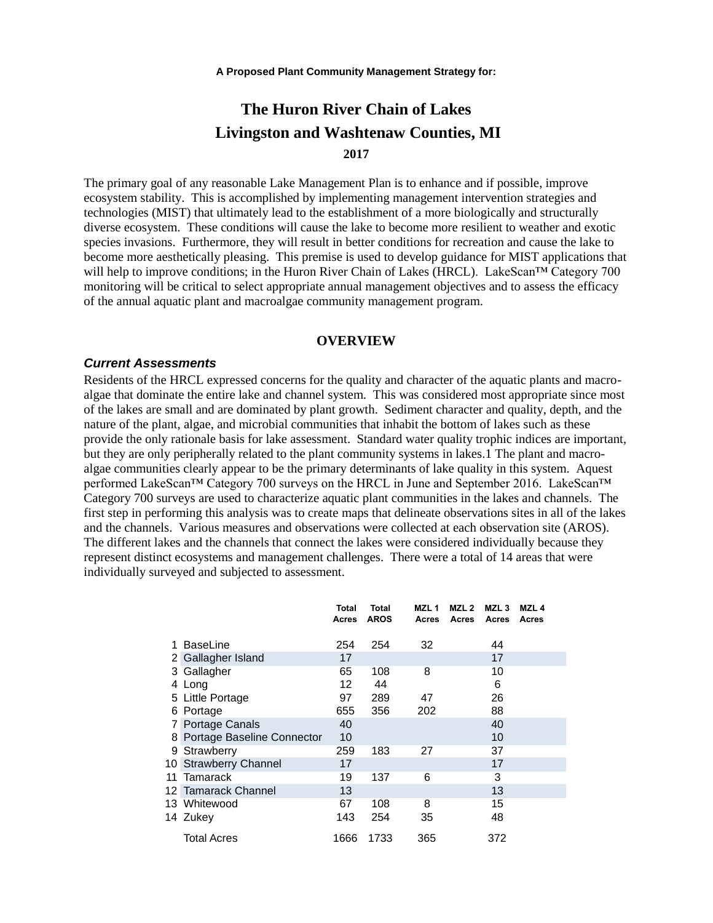# **The Huron River Chain of Lakes Livingston and Washtenaw Counties, MI 2017**

The primary goal of any reasonable Lake Management Plan is to enhance and if possible, improve ecosystem stability. This is accomplished by implementing management intervention strategies and technologies (MIST) that ultimately lead to the establishment of a more biologically and structurally diverse ecosystem. These conditions will cause the lake to become more resilient to weather and exotic species invasions. Furthermore, they will result in better conditions for recreation and cause the lake to become more aesthetically pleasing. This premise is used to develop guidance for MIST applications that will help to improve conditions; in the Huron River Chain of Lakes (HRCL). LakeScan™ Category 700 monitoring will be critical to select appropriate annual management objectives and to assess the efficacy of the annual aquatic plant and macroalgae community management program.

#### **OVERVIEW**

#### *Current Assessments*

Residents of the HRCL expressed concerns for the quality and character of the aquatic plants and macroalgae that dominate the entire lake and channel system. This was considered most appropriate since most of the lakes are small and are dominated by plant growth. Sediment character and quality, depth, and the nature of the plant, algae, and microbial communities that inhabit the bottom of lakes such as these provide the only rationale basis for lake assessment. Standard water quality trophic indices are important, but they are only peripherally related to the plant community systems in lakes.1 The plant and macroalgae communities clearly appear to be the primary determinants of lake quality in this system. Aquest performed LakeScan™ Category 700 surveys on the HRCL in June and September 2016. LakeScan™ Category 700 surveys are used to characterize aquatic plant communities in the lakes and channels. The first step in performing this analysis was to create maps that delineate observations sites in all of the lakes and the channels. Various measures and observations were collected at each observation site (AROS). The different lakes and the channels that connect the lakes were considered individually because they represent distinct ecosystems and management challenges. There were a total of 14 areas that were individually surveyed and subjected to assessment.

|    |                              | Total<br>Acres | <b>Total</b><br><b>AROS</b> | MZL <sub>1</sub><br><b>Acres</b> | MZL 2<br><b>Acres</b> | MZL <sub>3</sub><br><b>Acres</b> | MZL <sub>4</sub><br>Acres |
|----|------------------------------|----------------|-----------------------------|----------------------------------|-----------------------|----------------------------------|---------------------------|
|    | <b>BaseLine</b>              | 254            | 254                         | 32                               |                       | 44                               |                           |
|    | 2 Gallagher Island           | 17             |                             |                                  |                       | 17                               |                           |
|    | 3 Gallagher                  | 65             | 108                         | 8                                |                       | 10                               |                           |
|    | 4 Long                       | 12             | 44                          |                                  |                       | 6                                |                           |
|    | 5 Little Portage             | 97             | 289                         | 47                               |                       | 26                               |                           |
| 6. | Portage                      | 655            | 356                         | 202                              |                       | 88                               |                           |
|    | Portage Canals               | 40             |                             |                                  |                       | 40                               |                           |
|    | 8 Portage Baseline Connector | 10             |                             |                                  |                       | 10                               |                           |
| 9  | Strawberry                   | 259            | 183                         | 27                               |                       | 37                               |                           |
|    | 10 Strawberry Channel        | 17             |                             |                                  |                       | 17                               |                           |
| 11 | Tamarack                     | 19             | 137                         | 6                                |                       | 3                                |                           |
|    | 12 Tamarack Channel          | 13             |                             |                                  |                       | 13                               |                           |
|    | 13 Whitewood                 | 67             | 108                         | 8                                |                       | 15                               |                           |
|    | 14 Zukey                     | 143            | 254                         | 35                               |                       | 48                               |                           |
|    | <b>Total Acres</b>           | 1666           | 1733                        | 365                              |                       | 372                              |                           |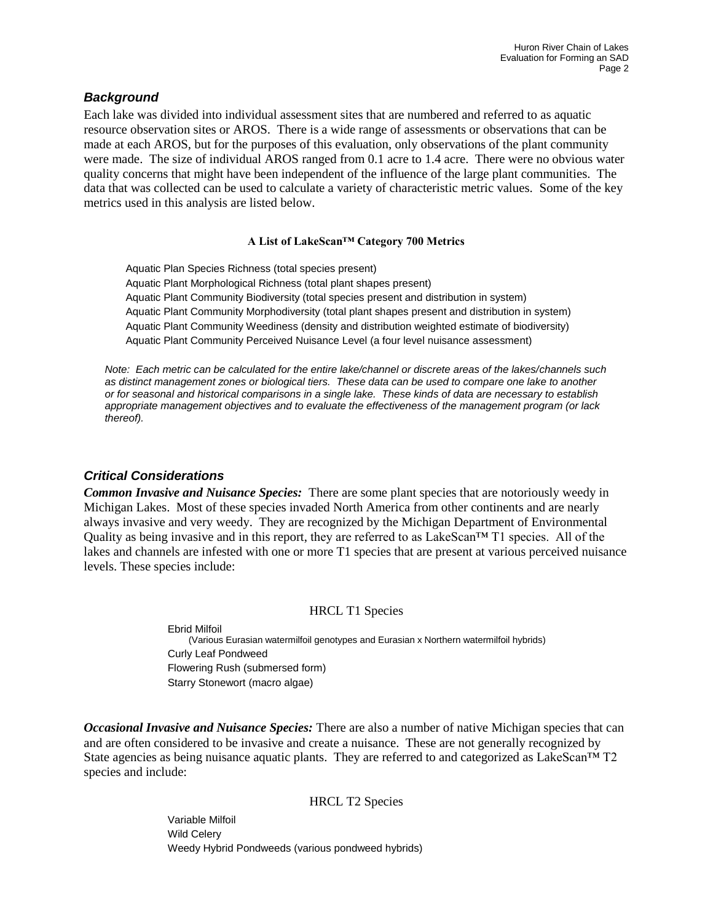### *Background*

Each lake was divided into individual assessment sites that are numbered and referred to as aquatic resource observation sites or AROS. There is a wide range of assessments or observations that can be made at each AROS, but for the purposes of this evaluation, only observations of the plant community were made. The size of individual AROS ranged from 0.1 acre to 1.4 acre. There were no obvious water quality concerns that might have been independent of the influence of the large plant communities. The data that was collected can be used to calculate a variety of characteristic metric values. Some of the key metrics used in this analysis are listed below.

#### **A List of LakeScan™ Category 700 Metrics**

Aquatic Plan Species Richness (total species present) Aquatic Plant Morphological Richness (total plant shapes present) Aquatic Plant Community Biodiversity (total species present and distribution in system) Aquatic Plant Community Morphodiversity (total plant shapes present and distribution in system) Aquatic Plant Community Weediness (density and distribution weighted estimate of biodiversity) Aquatic Plant Community Perceived Nuisance Level (a four level nuisance assessment)

*Note: Each metric can be calculated for the entire lake/channel or discrete areas of the lakes/channels such as distinct management zones or biological tiers. These data can be used to compare one lake to another or for seasonal and historical comparisons in a single lake. These kinds of data are necessary to establish appropriate management objectives and to evaluate the effectiveness of the management program (or lack thereof).*

### *Critical Considerations*

*Common Invasive and Nuisance Species:* There are some plant species that are notoriously weedy in Michigan Lakes. Most of these species invaded North America from other continents and are nearly always invasive and very weedy. They are recognized by the Michigan Department of Environmental Quality as being invasive and in this report, they are referred to as LakeScan<sup>TM</sup> T1 species. All of the lakes and channels are infested with one or more T1 species that are present at various perceived nuisance levels. These species include:

#### HRCL T1 Species

Ebrid Milfoil (Various Eurasian watermilfoil genotypes and Eurasian x Northern watermilfoil hybrids) Curly Leaf Pondweed Flowering Rush (submersed form) Starry Stonewort (macro algae)

*Occasional Invasive and Nuisance Species:* There are also a number of native Michigan species that can and are often considered to be invasive and create a nuisance. These are not generally recognized by State agencies as being nuisance aquatic plants. They are referred to and categorized as LakeScan™ T2 species and include:

HRCL T2 Species

Variable Milfoil Wild Celery Weedy Hybrid Pondweeds (various pondweed hybrids)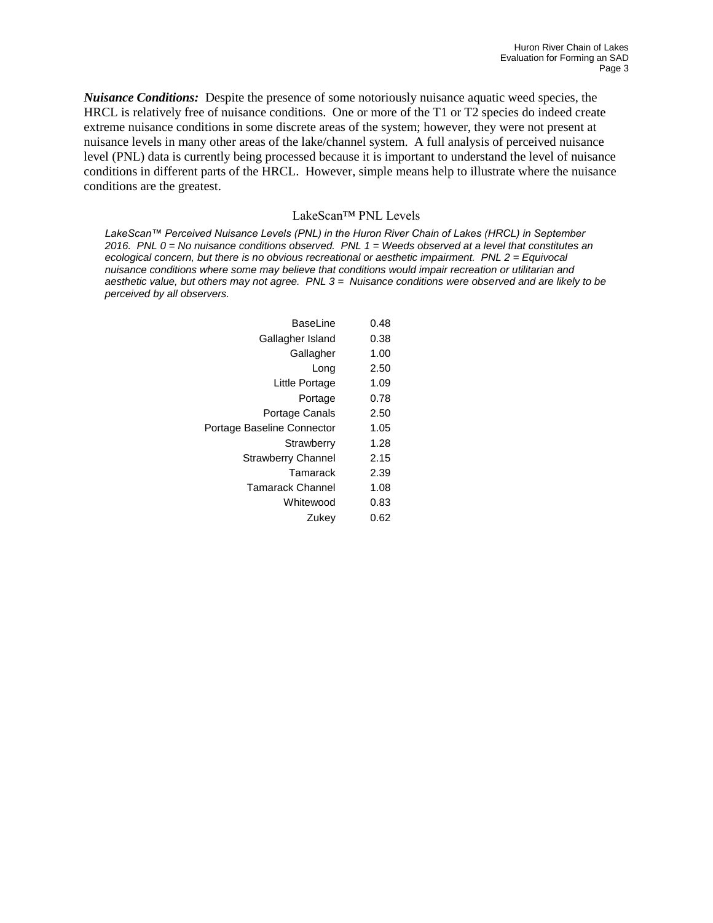*Nuisance Conditions:* Despite the presence of some notoriously nuisance aquatic weed species, the HRCL is relatively free of nuisance conditions. One or more of the T1 or T2 species do indeed create extreme nuisance conditions in some discrete areas of the system; however, they were not present at nuisance levels in many other areas of the lake/channel system. A full analysis of perceived nuisance level (PNL) data is currently being processed because it is important to understand the level of nuisance conditions in different parts of the HRCL. However, simple means help to illustrate where the nuisance conditions are the greatest.

#### LakeScan™ PNL Levels

*LakeScan™ Perceived Nuisance Levels (PNL) in the Huron River Chain of Lakes (HRCL) in September 2016. PNL 0 = No nuisance conditions observed. PNL 1 = Weeds observed at a level that constitutes an ecological concern, but there is no obvious recreational or aesthetic impairment. PNL 2 = Equivocal nuisance conditions where some may believe that conditions would impair recreation or utilitarian and aesthetic value, but others may not agree. PNL 3 = Nuisance conditions were observed and are likely to be perceived by all observers.*

| BaseLine                   | 0.48 |
|----------------------------|------|
| Gallagher Island           | 0.38 |
| Gallagher                  | 1.00 |
| Long                       | 2.50 |
| Little Portage             | 1.09 |
| Portage                    | 0.78 |
| Portage Canals             | 2.50 |
| Portage Baseline Connector | 1.05 |
| Strawberry                 | 1.28 |
| <b>Strawberry Channel</b>  | 2.15 |
| Tamarack                   | 2.39 |
| <b>Tamarack Channel</b>    | 1.08 |
| Whitewood                  | 0.83 |
| Zukev                      | 0.62 |
|                            |      |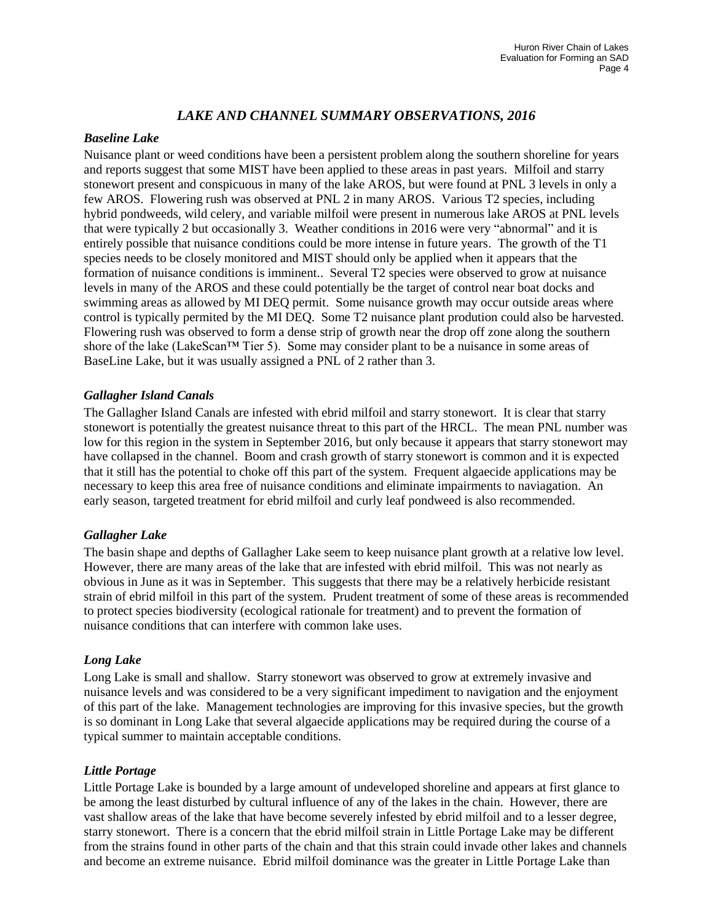## *LAKE AND CHANNEL SUMMARY OBSERVATIONS, 2016*

#### *Baseline Lake*

Nuisance plant or weed conditions have been a persistent problem along the southern shoreline for years and reports suggest that some MIST have been applied to these areas in past years. Milfoil and starry stonewort present and conspicuous in many of the lake AROS, but were found at PNL 3 levels in only a few AROS. Flowering rush was observed at PNL 2 in many AROS. Various T2 species, including hybrid pondweeds, wild celery, and variable milfoil were present in numerous lake AROS at PNL levels that were typically 2 but occasionally 3. Weather conditions in 2016 were very "abnormal" and it is entirely possible that nuisance conditions could be more intense in future years. The growth of the T1 species needs to be closely monitored and MIST should only be applied when it appears that the formation of nuisance conditions is imminent.. Several T2 species were observed to grow at nuisance levels in many of the AROS and these could potentially be the target of control near boat docks and swimming areas as allowed by MI DEQ permit. Some nuisance growth may occur outside areas where control is typically permited by the MI DEQ. Some T2 nuisance plant prodution could also be harvested. Flowering rush was observed to form a dense strip of growth near the drop off zone along the southern shore of the lake (LakeScan™ Tier 5). Some may consider plant to be a nuisance in some areas of BaseLine Lake, but it was usually assigned a PNL of 2 rather than 3.

### *Gallagher Island Canals*

The Gallagher Island Canals are infested with ebrid milfoil and starry stonewort. It is clear that starry stonewort is potentially the greatest nuisance threat to this part of the HRCL. The mean PNL number was low for this region in the system in September 2016, but only because it appears that starry stonewort may have collapsed in the channel. Boom and crash growth of starry stonewort is common and it is expected that it still has the potential to choke off this part of the system. Frequent algaecide applications may be necessary to keep this area free of nuisance conditions and eliminate impairments to naviagation. An early season, targeted treatment for ebrid milfoil and curly leaf pondweed is also recommended.

### *Gallagher Lake*

The basin shape and depths of Gallagher Lake seem to keep nuisance plant growth at a relative low level. However, there are many areas of the lake that are infested with ebrid milfoil. This was not nearly as obvious in June as it was in September. This suggests that there may be a relatively herbicide resistant strain of ebrid milfoil in this part of the system. Prudent treatment of some of these areas is recommended to protect species biodiversity (ecological rationale for treatment) and to prevent the formation of nuisance conditions that can interfere with common lake uses.

### *Long Lake*

Long Lake is small and shallow. Starry stonewort was observed to grow at extremely invasive and nuisance levels and was considered to be a very significant impediment to navigation and the enjoyment of this part of the lake. Management technologies are improving for this invasive species, but the growth is so dominant in Long Lake that several algaecide applications may be required during the course of a typical summer to maintain acceptable conditions.

### *Little Portage*

Little Portage Lake is bounded by a large amount of undeveloped shoreline and appears at first glance to be among the least disturbed by cultural influence of any of the lakes in the chain. However, there are vast shallow areas of the lake that have become severely infested by ebrid milfoil and to a lesser degree, starry stonewort. There is a concern that the ebrid milfoil strain in Little Portage Lake may be different from the strains found in other parts of the chain and that this strain could invade other lakes and channels and become an extreme nuisance. Ebrid milfoil dominance was the greater in Little Portage Lake than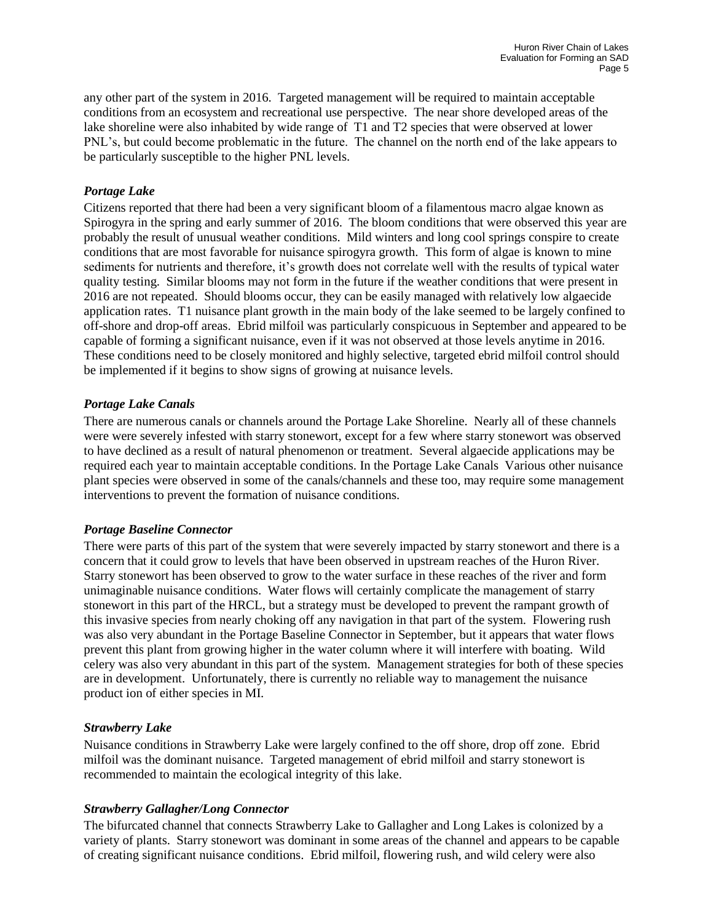any other part of the system in 2016. Targeted management will be required to maintain acceptable conditions from an ecosystem and recreational use perspective. The near shore developed areas of the lake shoreline were also inhabited by wide range of T1 and T2 species that were observed at lower PNL's, but could become problematic in the future. The channel on the north end of the lake appears to be particularly susceptible to the higher PNL levels.

### *Portage Lake*

Citizens reported that there had been a very significant bloom of a filamentous macro algae known as Spirogyra in the spring and early summer of 2016. The bloom conditions that were observed this year are probably the result of unusual weather conditions. Mild winters and long cool springs conspire to create conditions that are most favorable for nuisance spirogyra growth. This form of algae is known to mine sediments for nutrients and therefore, it's growth does not correlate well with the results of typical water quality testing. Similar blooms may not form in the future if the weather conditions that were present in 2016 are not repeated. Should blooms occur, they can be easily managed with relatively low algaecide application rates. T1 nuisance plant growth in the main body of the lake seemed to be largely confined to off-shore and drop-off areas. Ebrid milfoil was particularly conspicuous in September and appeared to be capable of forming a significant nuisance, even if it was not observed at those levels anytime in 2016. These conditions need to be closely monitored and highly selective, targeted ebrid milfoil control should be implemented if it begins to show signs of growing at nuisance levels.

### *Portage Lake Canals*

There are numerous canals or channels around the Portage Lake Shoreline. Nearly all of these channels were were severely infested with starry stonewort, except for a few where starry stonewort was observed to have declined as a result of natural phenomenon or treatment. Several algaecide applications may be required each year to maintain acceptable conditions. In the Portage Lake Canals Various other nuisance plant species were observed in some of the canals/channels and these too, may require some management interventions to prevent the formation of nuisance conditions.

### *Portage Baseline Connector*

There were parts of this part of the system that were severely impacted by starry stonewort and there is a concern that it could grow to levels that have been observed in upstream reaches of the Huron River. Starry stonewort has been observed to grow to the water surface in these reaches of the river and form unimaginable nuisance conditions. Water flows will certainly complicate the management of starry stonewort in this part of the HRCL, but a strategy must be developed to prevent the rampant growth of this invasive species from nearly choking off any navigation in that part of the system. Flowering rush was also very abundant in the Portage Baseline Connector in September, but it appears that water flows prevent this plant from growing higher in the water column where it will interfere with boating. Wild celery was also very abundant in this part of the system. Management strategies for both of these species are in development. Unfortunately, there is currently no reliable way to management the nuisance product ion of either species in MI.

### *Strawberry Lake*

Nuisance conditions in Strawberry Lake were largely confined to the off shore, drop off zone. Ebrid milfoil was the dominant nuisance. Targeted management of ebrid milfoil and starry stonewort is recommended to maintain the ecological integrity of this lake.

### *Strawberry Gallagher/Long Connector*

The bifurcated channel that connects Strawberry Lake to Gallagher and Long Lakes is colonized by a variety of plants. Starry stonewort was dominant in some areas of the channel and appears to be capable of creating significant nuisance conditions. Ebrid milfoil, flowering rush, and wild celery were also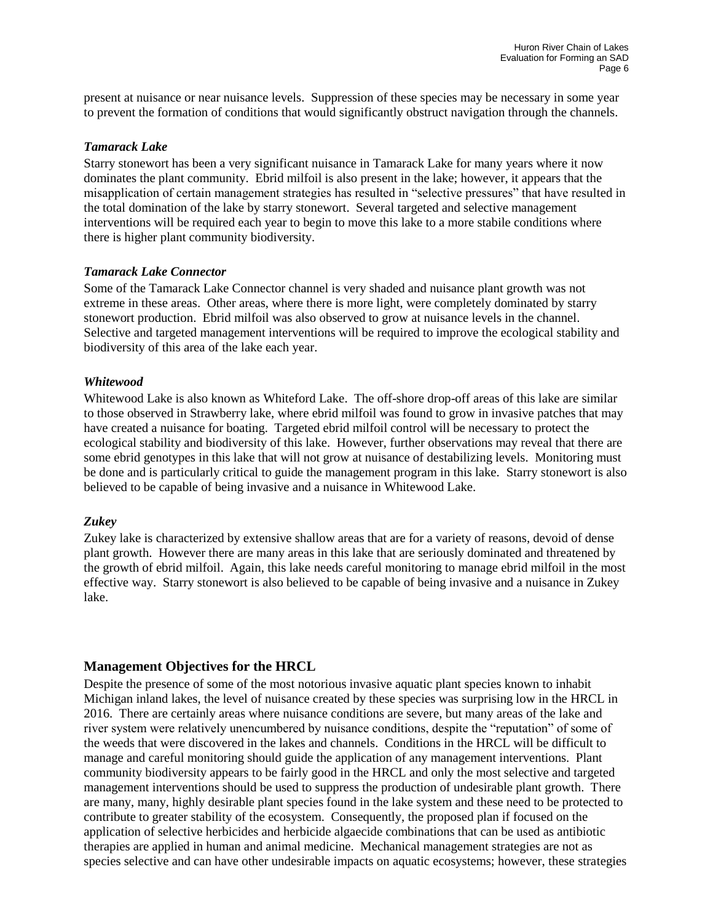present at nuisance or near nuisance levels. Suppression of these species may be necessary in some year to prevent the formation of conditions that would significantly obstruct navigation through the channels.

#### *Tamarack Lake*

Starry stonewort has been a very significant nuisance in Tamarack Lake for many years where it now dominates the plant community. Ebrid milfoil is also present in the lake; however, it appears that the misapplication of certain management strategies has resulted in "selective pressures" that have resulted in the total domination of the lake by starry stonewort. Several targeted and selective management interventions will be required each year to begin to move this lake to a more stabile conditions where there is higher plant community biodiversity.

#### *Tamarack Lake Connector*

Some of the Tamarack Lake Connector channel is very shaded and nuisance plant growth was not extreme in these areas. Other areas, where there is more light, were completely dominated by starry stonewort production. Ebrid milfoil was also observed to grow at nuisance levels in the channel. Selective and targeted management interventions will be required to improve the ecological stability and biodiversity of this area of the lake each year.

#### *Whitewood*

Whitewood Lake is also known as Whiteford Lake. The off-shore drop-off areas of this lake are similar to those observed in Strawberry lake, where ebrid milfoil was found to grow in invasive patches that may have created a nuisance for boating. Targeted ebrid milfoil control will be necessary to protect the ecological stability and biodiversity of this lake. However, further observations may reveal that there are some ebrid genotypes in this lake that will not grow at nuisance of destabilizing levels. Monitoring must be done and is particularly critical to guide the management program in this lake. Starry stonewort is also believed to be capable of being invasive and a nuisance in Whitewood Lake.

#### *Zukey*

Zukey lake is characterized by extensive shallow areas that are for a variety of reasons, devoid of dense plant growth. However there are many areas in this lake that are seriously dominated and threatened by the growth of ebrid milfoil. Again, this lake needs careful monitoring to manage ebrid milfoil in the most effective way. Starry stonewort is also believed to be capable of being invasive and a nuisance in Zukey lake.

### **Management Objectives for the HRCL**

Despite the presence of some of the most notorious invasive aquatic plant species known to inhabit Michigan inland lakes, the level of nuisance created by these species was surprising low in the HRCL in 2016. There are certainly areas where nuisance conditions are severe, but many areas of the lake and river system were relatively unencumbered by nuisance conditions, despite the "reputation" of some of the weeds that were discovered in the lakes and channels. Conditions in the HRCL will be difficult to manage and careful monitoring should guide the application of any management interventions. Plant community biodiversity appears to be fairly good in the HRCL and only the most selective and targeted management interventions should be used to suppress the production of undesirable plant growth. There are many, many, highly desirable plant species found in the lake system and these need to be protected to contribute to greater stability of the ecosystem. Consequently, the proposed plan if focused on the application of selective herbicides and herbicide algaecide combinations that can be used as antibiotic therapies are applied in human and animal medicine. Mechanical management strategies are not as species selective and can have other undesirable impacts on aquatic ecosystems; however, these strategies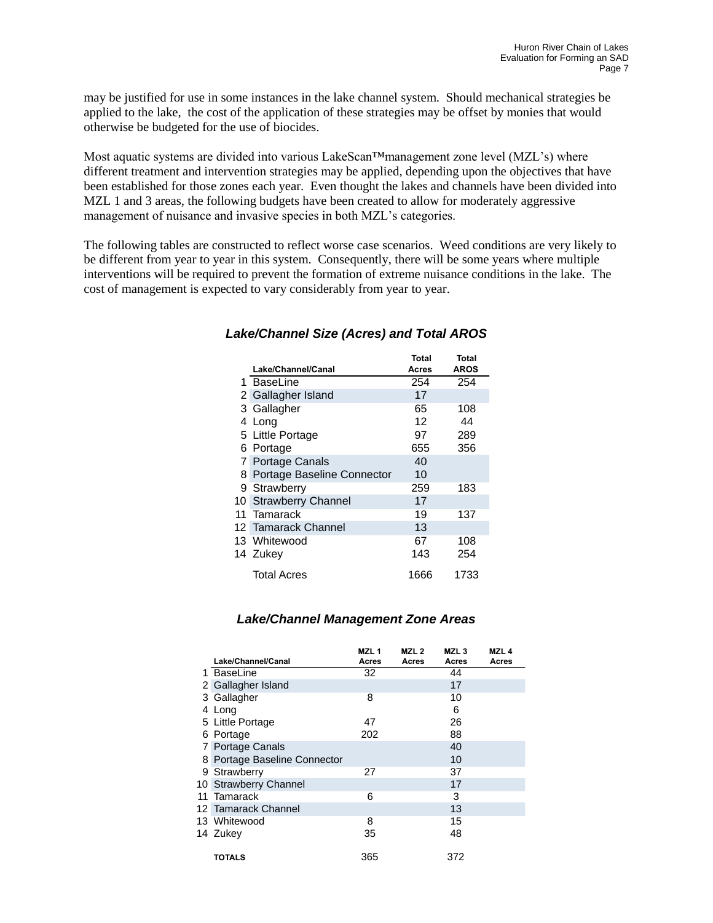may be justified for use in some instances in the lake channel system. Should mechanical strategies be applied to the lake, the cost of the application of these strategies may be offset by monies that would otherwise be budgeted for the use of biocides.

Most aquatic systems are divided into various LakeScan™management zone level (MZL's) where different treatment and intervention strategies may be applied, depending upon the objectives that have been established for those zones each year. Even thought the lakes and channels have been divided into MZL 1 and 3 areas, the following budgets have been created to allow for moderately aggressive management of nuisance and invasive species in both MZL's categories.

The following tables are constructed to reflect worse case scenarios. Weed conditions are very likely to be different from year to year in this system. Consequently, there will be some years where multiple interventions will be required to prevent the formation of extreme nuisance conditions in the lake. The cost of management is expected to vary considerably from year to year.

|                              | <b>Total</b> | <b>Total</b> |
|------------------------------|--------------|--------------|
| Lake/Channel/Canal           | Acres        | <b>AROS</b>  |
| 1 BaseLine                   | 254          | 254          |
| 2 Gallagher Island           | 17           |              |
| 3 Gallagher                  | 65           | 108          |
| 4 Long                       | 12           | 44           |
| 5 Little Portage             | 97           | 289          |
| 6 Portage                    | 655          | 356          |
| 7 Portage Canals             | 40           |              |
| 8 Portage Baseline Connector | 10           |              |
| 9 Strawberry                 | 259          | 183          |
| 10 Strawberry Channel        | 17           |              |
| 11 Tamarack                  | 19           | 137          |
| 12 Tamarack Channel          | 13           |              |
| 13 Whitewood                 | 67           | 108          |
| 14 Zukey                     | 143          | 254          |
| Total Acres                  | 1666         | 1733         |

### *Lake/Channel Size (Acres) and Total AROS*

## *Lake/Channel Management Zone Areas*

| Lake/Channel/Canal           | MZL <sub>1</sub><br>Acres | MZL <sub>2</sub><br>Acres | MZL <sub>3</sub><br>Acres | MZL <sub>4</sub><br>Acres |
|------------------------------|---------------------------|---------------------------|---------------------------|---------------------------|
| 1 BaseLine                   | 32                        |                           | 44                        |                           |
| 2 Gallagher Island           |                           |                           | 17                        |                           |
| 3 Gallagher                  | 8                         |                           | 10                        |                           |
| 4 Long                       |                           |                           | 6                         |                           |
| 5 Little Portage             | 47                        |                           | 26                        |                           |
| 6 Portage                    | 202                       |                           | 88                        |                           |
| 7 Portage Canals             |                           |                           | 40                        |                           |
| 8 Portage Baseline Connector |                           |                           | 10                        |                           |
| 9 Strawberry                 | 27                        |                           | 37                        |                           |
| 10 Strawberry Channel        |                           |                           | 17                        |                           |
| 11 Tamarack                  | 6                         |                           | 3                         |                           |
| 12 Tamarack Channel          |                           |                           | 13                        |                           |
| 13 Whitewood                 | 8                         |                           | 15                        |                           |
| 14 Zukey                     | 35                        |                           | 48                        |                           |
| TOTALS                       | 365                       |                           | 372                       |                           |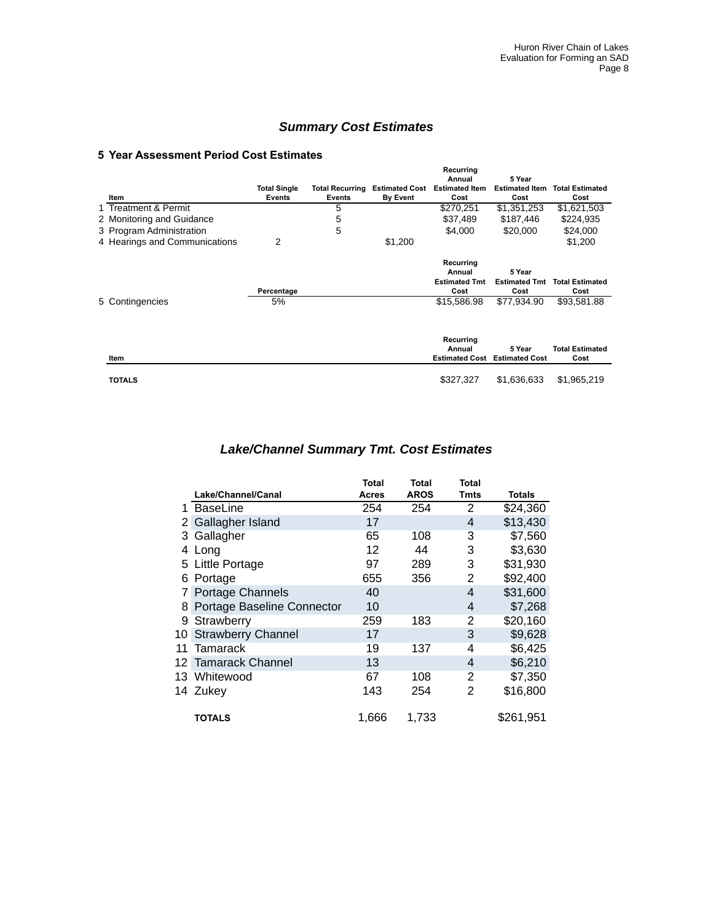## *Summary Cost Estimates*

#### **5 Year Assessment Period Cost Estimates**

|                               |                     |                        |                       | Recurring             |                       |                        |
|-------------------------------|---------------------|------------------------|-----------------------|-----------------------|-----------------------|------------------------|
|                               |                     |                        |                       | Annual                | 5 Year                |                        |
|                               | <b>Total Single</b> | <b>Total Recurring</b> | <b>Estimated Cost</b> | <b>Estimated Item</b> | <b>Estimated Item</b> | <b>Total Estimated</b> |
| Item                          | <b>Events</b>       | <b>Events</b>          | <b>By Event</b>       | Cost                  | Cost                  | Cost                   |
| 1 Treatment & Permit          |                     | 5                      |                       | \$270,251             | \$1,351,253           | \$1,621,503            |
| 2 Monitoring and Guidance     |                     | 5                      |                       | \$37,489              | \$187,446             | \$224,935              |
| 3 Program Administration      |                     | 5                      |                       | \$4,000               | \$20,000              | \$24,000               |
| 4 Hearings and Communications | 2                   |                        | \$1,200               |                       |                       | \$1,200                |
|                               |                     |                        |                       | Recurring             |                       |                        |
|                               |                     |                        |                       | Annual                | 5 Year                |                        |
|                               |                     |                        |                       | <b>Estimated Tmt</b>  | <b>Estimated Tmt</b>  | <b>Total Estimated</b> |
|                               | Percentage          |                        |                       | Cost                  | Cost                  | Cost                   |
| 5 Contingencies               | 5%                  |                        |                       | \$15,586.98           | \$77,934.90           | \$93,581.88            |
|                               |                     |                        |                       | Recurring             |                       |                        |
|                               |                     |                        |                       | Annual                | 5 Year                | <b>Total Estimated</b> |
| Item                          |                     |                        |                       | <b>Estimated Cost</b> | <b>Estimated Cost</b> | Cost                   |
| <b>TOTALS</b>                 |                     |                        |                       | \$327,327             | \$1,636,633           | \$1,965,219            |

## *Lake/Channel Summary Tmt. Cost Estimates*

|                |                            | Total        | Total       | Total |           |
|----------------|----------------------------|--------------|-------------|-------|-----------|
|                | Lake/Channel/Canal         | <b>Acres</b> | <b>AROS</b> | Tmts  | Totals    |
|                | 1 BaseLine                 | 254          | 254         | 2     | \$24,360  |
| $2^{\circ}$    | Gallagher Island           | 17           |             | 4     | \$13,430  |
|                | 3 Gallagher                | 65           | 108         | 3     | \$7,560   |
| 4              | Long                       | 12           | 44          | 3     | \$3,630   |
|                | 5 Little Portage           | 97           | 289         | 3     | \$31,930  |
| 6              | Portage                    | 655          | 356         | 2     | \$92,400  |
| 7 <sup>1</sup> | Portage Channels           | 40           |             | 4     | \$31,600  |
| 8              | Portage Baseline Connector | 10           |             | 4     | \$7,268   |
| 9              | Strawberry                 | 259          | 183         | 2     | \$20,160  |
| 10.            | <b>Strawberry Channel</b>  | 17           |             | 3     | \$9,628   |
| 11             | Tamarack                   | 19           | 137         | 4     | \$6,425   |
|                | 12 Tamarack Channel        | 13           |             | 4     | \$6,210   |
|                | 13 Whitewood               | 67           | 108         | 2     | \$7,350   |
|                | 14 Zukey                   | 143          | 254         | 2     | \$16,800  |
|                | <b>TOTALS</b>              | 1,666        | 1,733       |       | \$261,951 |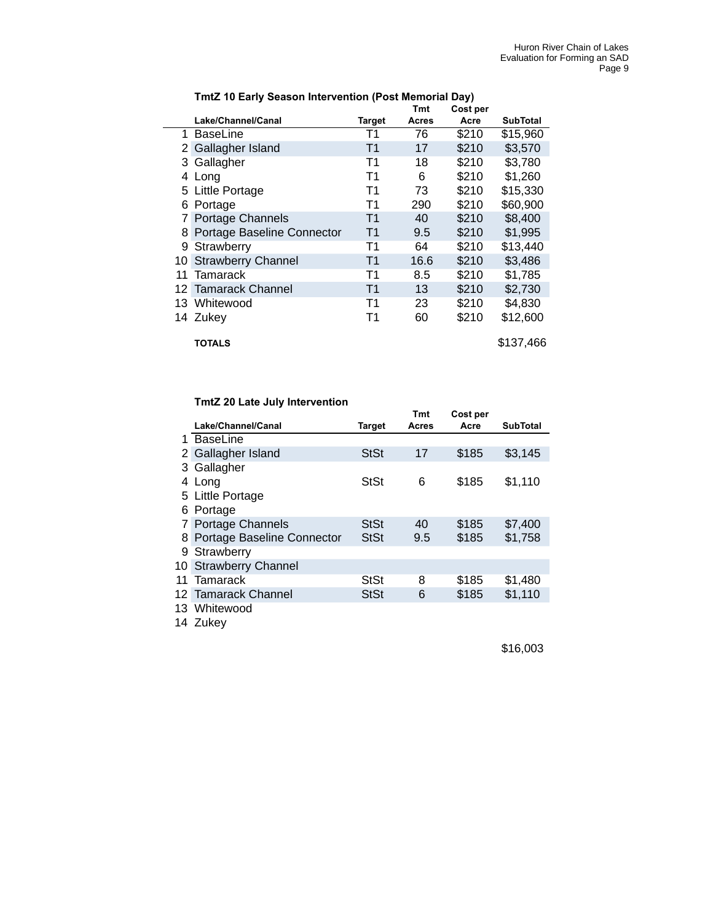|                |                            |                | Tmt          | Cost per |                 |
|----------------|----------------------------|----------------|--------------|----------|-----------------|
|                | Lake/Channel/Canal         | <b>Target</b>  | <b>Acres</b> | Acre     | <b>SubTotal</b> |
| 1              | <b>BaseLine</b>            | Τ1             | 76           | \$210    | \$15,960        |
| $\mathbf{2}$   | Gallagher Island           | T <sub>1</sub> | 17           | \$210    | \$3,570         |
| 3              | Gallagher                  | T1             | 18           | \$210    | \$3,780         |
| 4              | Long                       | T1             | 6            | \$210    | \$1,260         |
|                | 5 Little Portage           | T1             | 73           | \$210    | \$15,330        |
| 6              | Portage                    | T1             | 290          | \$210    | \$60,900        |
| 7 <sup>1</sup> | <b>Portage Channels</b>    | T1             | 40           | \$210    | \$8,400         |
| 8              | Portage Baseline Connector | Τ1             | 9.5          | \$210    | \$1,995         |
| 9              | Strawberry                 | Τ1             | 64           | \$210    | \$13,440        |
| 10             | <b>Strawberry Channel</b>  | Τ1             | 16.6         | \$210    | \$3,486         |
| 11             | Tamarack                   | Τ1             | 8.5          | \$210    | \$1,785         |
|                | 12 Tamarack Channel        | Τ1             | 13           | \$210    | \$2,730         |
|                | 13 Whitewood               | T1             | 23           | \$210    | \$4,830         |
|                | 14 Zukey                   | T1             | 60           | \$210    | \$12,600        |
|                | <b>TOTALS</b>              |                |              |          | \$137,466       |

## **TmtZ 10 Early Season Intervention (Post Memorial Day)**

## **TmtZ 20 Late July Intervention**

|              |                            |             | Tmt   | Cost per |                 |  |
|--------------|----------------------------|-------------|-------|----------|-----------------|--|
|              | Lake/Channel/Canal         | Target      | Acres | Acre     | <b>SubTotal</b> |  |
| 1.           | <b>BaseLine</b>            |             |       |          |                 |  |
| $\mathbf{2}$ | Gallagher Island           | <b>StSt</b> | 17    | \$185    | \$3,145         |  |
|              | 3 Gallagher                |             |       |          |                 |  |
|              | 4 Long                     | <b>StSt</b> | 6     | \$185    | \$1,110         |  |
|              | 5 Little Portage           |             |       |          |                 |  |
|              | 6 Portage                  |             |       |          |                 |  |
| $7^{\circ}$  | <b>Portage Channels</b>    | <b>StSt</b> | 40    | \$185    | \$7,400         |  |
| 8            | Portage Baseline Connector | <b>StSt</b> | 9.5   | \$185    | \$1,758         |  |
| 9            | Strawberry                 |             |       |          |                 |  |
|              | 10 Strawberry Channel      |             |       |          |                 |  |
| 11           | Tamarack                   | StSt        | 8     | \$185    | \$1,480         |  |
|              | 12 Tamarack Channel        | <b>StSt</b> | 6     | \$185    | \$1,110         |  |
| 13           | Whitewood                  |             |       |          |                 |  |
|              |                            |             |       |          |                 |  |

Zukey

\$16,003